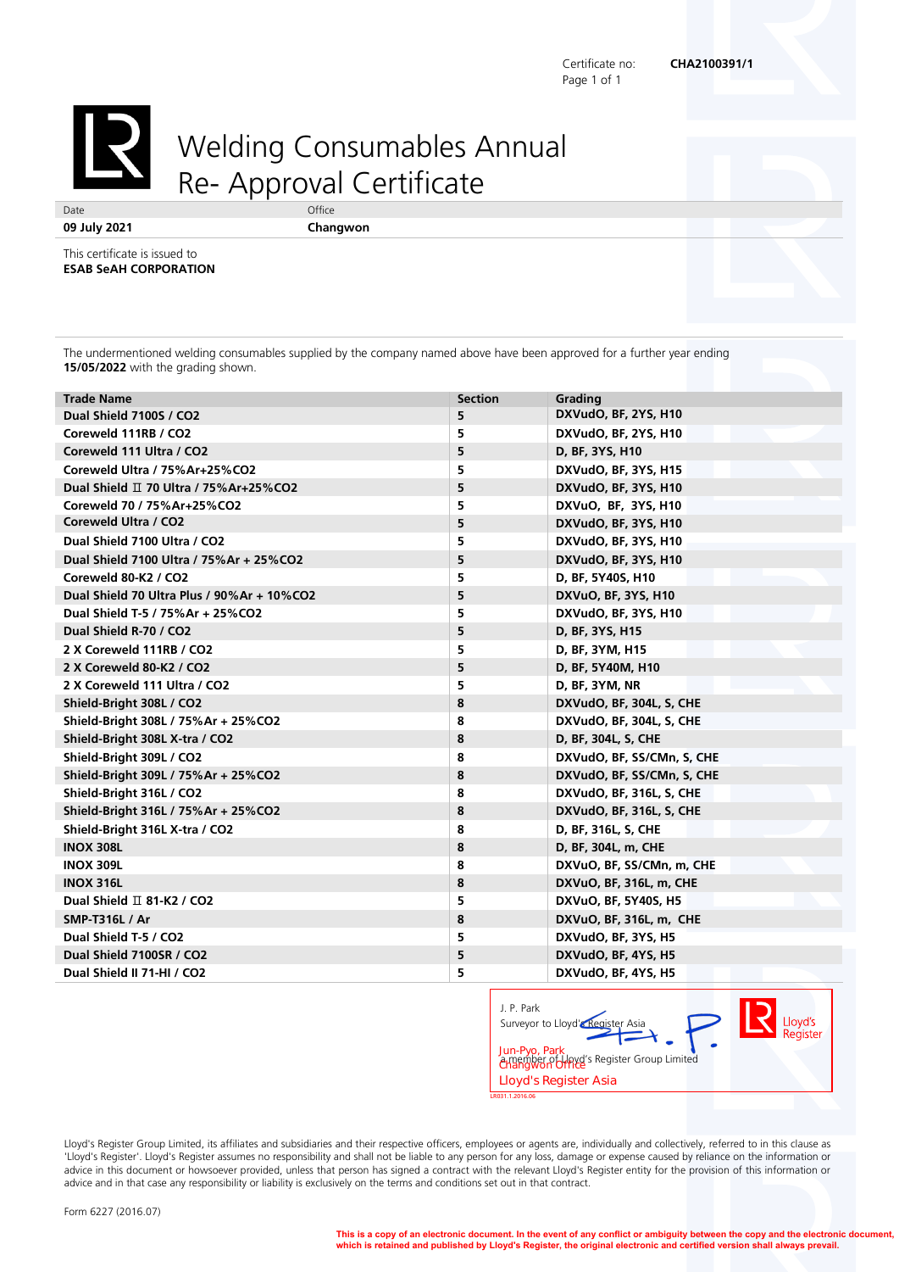Certificate no: **CHA2100391/1** Page 1 of 1



## Welding Consumables Annual Re- Approval Certificate

**09 July 2021 Changwon**

This certificate is issued to **ESAB SeAH CORPORATION**

The undermentioned welding consumables supplied by the company named above have been approved for a further year ending **15/05/2022** with the grading shown.

| <b>Trade Name</b>                            | <b>Section</b> | Grading                    |
|----------------------------------------------|----------------|----------------------------|
| Dual Shield 7100S / CO2                      | 5.             | DXVudO, BF, 2YS, H10       |
| Coreweld 111RB / CO2                         | 5              | DXVudO, BF, 2YS, H10       |
| Coreweld 111 Ultra / CO2                     | 5              | D, BF, 3YS, H10            |
| Coreweld Ultra / 75% Ar+25% CO2              | 5              | DXVudO, BF, 3YS, H15       |
| Dual Shield Ⅱ 70 Ultra / 75% Ar+25% CO2      | 5              | DXVudO, BF, 3YS, H10       |
| Coreweld 70 / 75% Ar+25% CO2                 | 5              | DXVuO, BF, 3YS, H10        |
| Coreweld Ultra / CO2                         | 5              | DXVudO, BF, 3YS, H10       |
| Dual Shield 7100 Ultra / CO2                 | 5              | DXVudO, BF, 3YS, H10       |
| Dual Shield 7100 Ultra / 75% Ar + 25% CO2    | 5              | DXVudO, BF, 3YS, H10       |
| Coreweld 80-K2 / CO2                         | 5              | D, BF, 5Y40S, H10          |
| Dual Shield 70 Ultra Plus / 90% Ar + 10% CO2 | 5              | DXVuO, BF, 3YS, H10        |
| Dual Shield T-5 / 75% Ar + 25% CO2           | 5              | DXVudO, BF, 3YS, H10       |
| Dual Shield R-70 / CO2                       | 5              | D, BF, 3YS, H15            |
| 2 X Coreweld 111RB / CO2                     | 5              | D, BF, 3YM, H15            |
| 2 X Coreweld 80-K2 / CO2                     | 5              | D, BF, 5Y40M, H10          |
| 2 X Coreweld 111 Ultra / CO2                 | 5              | D, BF, 3YM, NR             |
| Shield-Bright 308L / CO2                     | 8              | DXVudO, BF, 304L, S, CHE   |
| Shield-Bright 308L / 75% Ar + 25% CO2        | 8              | DXVudO, BF, 304L, S, CHE   |
| Shield-Bright 308L X-tra / CO2               | 8              | D, BF, 304L, S, CHE        |
| Shield-Bright 309L / CO2                     | 8              | DXVudO, BF, SS/CMn, S, CHE |
| Shield-Bright 309L / 75% Ar + 25% CO2        | 8              | DXVudO, BF, SS/CMn, S, CHE |
| Shield-Bright 316L / CO2                     | 8              | DXVudO, BF, 316L, S, CHE   |
| Shield-Bright 316L / 75% Ar + 25% CO2        | 8              | DXVudO, BF, 316L, S, CHE   |
| Shield-Bright 316L X-tra / CO2               | 8              | D, BF, 316L, S, CHE        |
| <b>INOX 308L</b>                             | 8              | D, BF, 304L, m, CHE        |
| <b>INOX 309L</b>                             | 8              | DXVuO, BF, SS/CMn, m, CHE  |
| <b>INOX 316L</b>                             | 8              | DXVuO, BF, 316L, m, CHE    |
| Dual Shield $\Pi$ 81-K2 / CO2                | 5              | DXVuO, BF, 5Y40S, H5       |
| <b>SMP-T316L / Ar</b>                        | 8              | DXVuO, BF, 316L, m, CHE    |
| Dual Shield T-5 / CO2                        | 5              | DXVudO, BF, 3YS, H5        |
| Dual Shield 7100SR / CO2                     | 5              | DXVudO, BF, 4YS, H5        |
| Dual Shield II 71-HI / CO2                   | 5              | DXVudO, BF, 4YS, H5        |

| Surveyor to Lloyd' <sup>Register</sup> Asia<br>Jun-Pyo, Park<br>a member of Lloyd's Register Group Limited<br>Changwon Office<br><b>Lloyd's Register Asia</b><br>LR031.1.2016.06 |  |  | Lloyd's<br>Register |
|----------------------------------------------------------------------------------------------------------------------------------------------------------------------------------|--|--|---------------------|
|----------------------------------------------------------------------------------------------------------------------------------------------------------------------------------|--|--|---------------------|

Lloyd's Register Group Limited, its affiliates and subsidiaries and their respective officers, employees or agents are, individually and collectively, referred to in this clause as 'Lloyd's Register'. Lloyd's Register assumes no responsibility and shall not be liable to any person for any loss, damage or expense caused by reliance on the information or advice in this document or howsoever provided, unless that person has signed a contract with the relevant Lloyd's Register entity for the provision of this information or advice and in that case any responsibility or liability is exclusively on the terms and conditions set out in that contract.